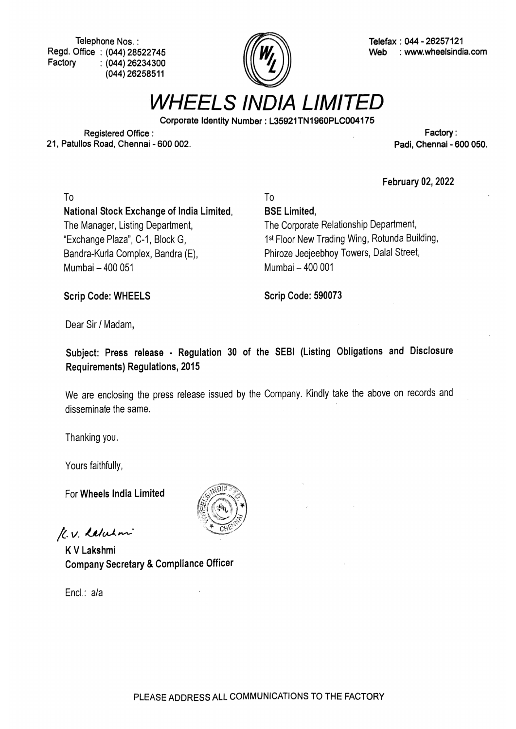Regd. Office: (044) 28522745 (044) 26234300 (044) 26258511 Factory



Telephone Nos. :<br>Office : (044) 28522745  $\sqrt{\mathbf{W}}$  ( $\sqrt{\mathbf{W}}$  Web : www.wheelsindia.com

WHEELS INDIA LIMITED

Corporate Identity Number: L35921TN1960PLCO04175

Registered Office: 21, Patullos Road, Chennai - 600 002.

Factory: Padi, Chennai - 600 050.

February 02, 2022

To To National Stock Exchange of India Limited, BSE Limited, The Manager, Listing Department, Exchange Plaza", C-1, Block G, Bandra-Kurla Complex, Bandra (E) Mumbai-400 051 Mumbai -400 001

The Corporate Relationship Department, 1st Floor New Trading Wing, Rotunda Building, Phiroze Jeejeebhoy Towers, Dalal Street,

Scrip Code: WHEELS Scrip Code: 590073

Dear Sir / Madam,

Subject: Press release - Regulation 30 of the SEBI (Listing Obligations and Disclosure Requirements) Regulations, 2015

We are enclosing the press release issued by the Company. Kindly take the above on records and disseminate the same.

Thanking you.

Yours faithfully,

For Wheels India Limited

K.V. Lebelan

KV Lakshmi Company Secretary & Compliance Officer

Encl.: ala